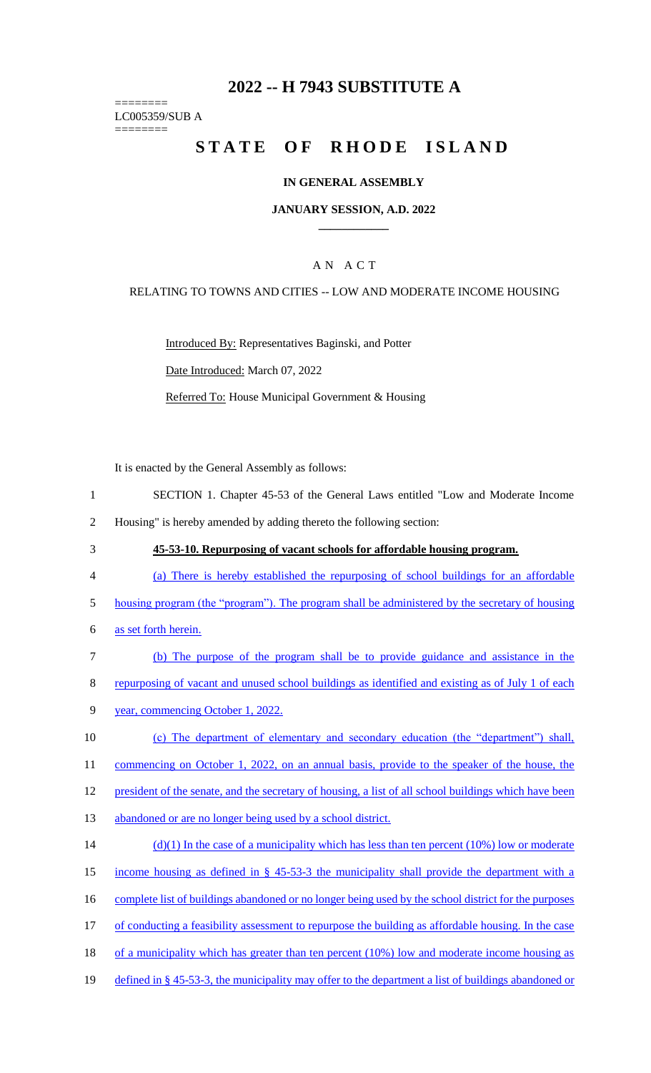# **2022 -- H 7943 SUBSTITUTE A**

======== LC005359/SUB A ========

# **STATE OF RHODE ISLAND**

#### **IN GENERAL ASSEMBLY**

#### **JANUARY SESSION, A.D. 2022 \_\_\_\_\_\_\_\_\_\_\_\_**

#### A N A C T

#### RELATING TO TOWNS AND CITIES -- LOW AND MODERATE INCOME HOUSING

Introduced By: Representatives Baginski, and Potter Date Introduced: March 07, 2022 Referred To: House Municipal Government & Housing

It is enacted by the General Assembly as follows:

- 1 SECTION 1. Chapter 45-53 of the General Laws entitled "Low and Moderate Income
- 2 Housing" is hereby amended by adding thereto the following section:
- 

## 3 **45-53-10. Repurposing of vacant schools for affordable housing program.**

- 4 (a) There is hereby established the repurposing of school buildings for an affordable
- 5 housing program (the "program"). The program shall be administered by the secretary of housing
- 6 as set forth herein.
- 7 (b) The purpose of the program shall be to provide guidance and assistance in the 8 repurposing of vacant and unused school buildings as identified and existing as of July 1 of each
- 9 year, commencing October 1, 2022.
- 10 (c) The department of elementary and secondary education (the "department") shall, 11 commencing on October 1, 2022, on an annual basis, provide to the speaker of the house, the
- 12 president of the senate, and the secretary of housing, a list of all school buildings which have been
- 13 abandoned or are no longer being used by a school district.
- 14 (d)(1) In the case of a municipality which has less than ten percent (10%) low or moderate 15 income housing as defined in § 45-53-3 the municipality shall provide the department with a 16 complete list of buildings abandoned or no longer being used by the school district for the purposes 17 of conducting a feasibility assessment to repurpose the building as affordable housing. In the case 18 of a municipality which has greater than ten percent (10%) low and moderate income housing as
- 19 defined in § 45-53-3, the municipality may offer to the department a list of buildings abandoned or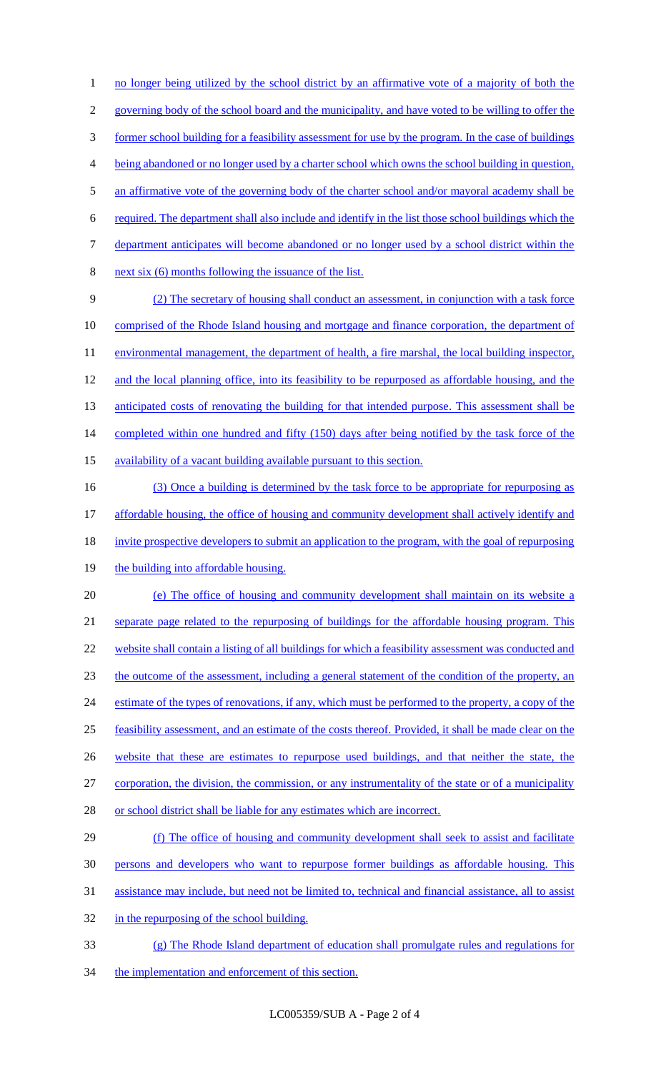1 no longer being utilized by the school district by an affirmative vote of a majority of both the governing body of the school board and the municipality, and have voted to be willing to offer the former school building for a feasibility assessment for use by the program. In the case of buildings being abandoned or no longer used by a charter school which owns the school building in question, 5 an affirmative vote of the governing body of the charter school and/or mayoral academy shall be required. The department shall also include and identify in the list those school buildings which the department anticipates will become abandoned or no longer used by a school district within the next six (6) months following the issuance of the list. (2) The secretary of housing shall conduct an assessment, in conjunction with a task force comprised of the Rhode Island housing and mortgage and finance corporation, the department of 11 environmental management, the department of health, a fire marshal, the local building inspector, 12 and the local planning office, into its feasibility to be repurposed as affordable housing, and the 13 anticipated costs of renovating the building for that intended purpose. This assessment shall be 14 completed within one hundred and fifty (150) days after being notified by the task force of the availability of a vacant building available pursuant to this section. 16 (3) Once a building is determined by the task force to be appropriate for repurposing as affordable housing, the office of housing and community development shall actively identify and 18 invite prospective developers to submit an application to the program, with the goal of repurposing 19 the building into affordable housing. (e) The office of housing and community development shall maintain on its website a separate page related to the repurposing of buildings for the affordable housing program. This website shall contain a listing of all buildings for which a feasibility assessment was conducted and the outcome of the assessment, including a general statement of the condition of the property, an estimate of the types of renovations, if any, which must be performed to the property, a copy of the feasibility assessment, and an estimate of the costs thereof. Provided, it shall be made clear on the 26 website that these are estimates to repurpose used buildings, and that neither the state, the corporation, the division, the commission, or any instrumentality of the state or of a municipality or school district shall be liable for any estimates which are incorrect. (f) The office of housing and community development shall seek to assist and facilitate persons and developers who want to repurpose former buildings as affordable housing. This assistance may include, but need not be limited to, technical and financial assistance, all to assist

- 32 in the repurposing of the school building.
- (g) The Rhode Island department of education shall promulgate rules and regulations for
- 34 the implementation and enforcement of this section.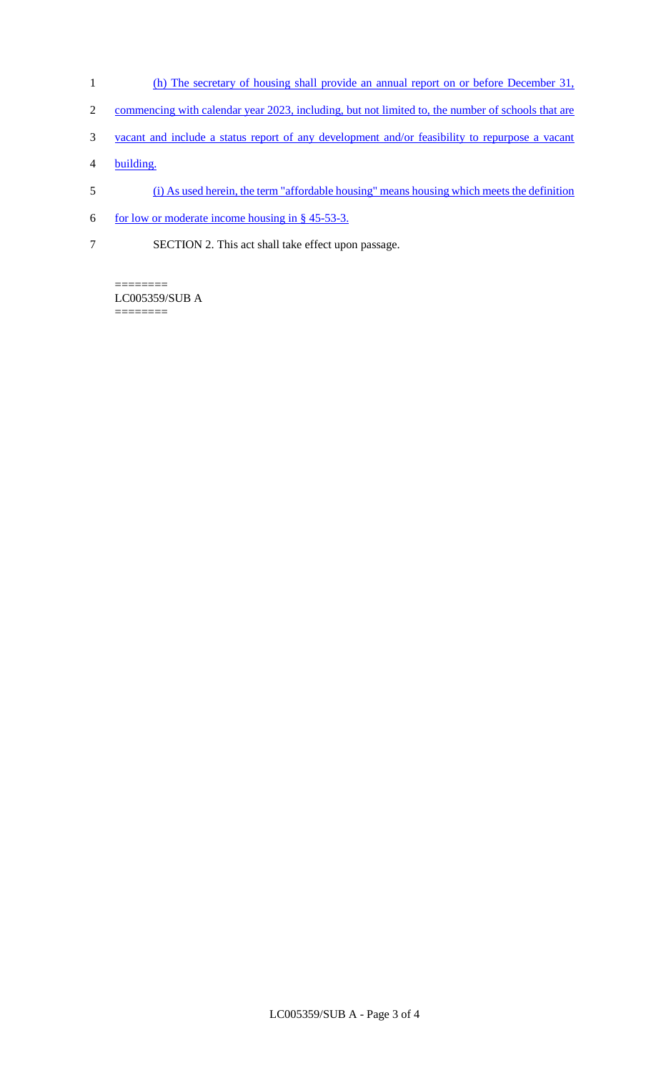- 1 (h) The secretary of housing shall provide an annual report on or before December 31,
- 2 commencing with calendar year 2023, including, but not limited to, the number of schools that are
- 3 vacant and include a status report of any development and/or feasibility to repurpose a vacant
- 4 building.
- 5 (i) As used herein, the term "affordable housing" means housing which meets the definition
- 6 for low or moderate income housing in  $§$  45-53-3.
- 7 SECTION 2. This act shall take effect upon passage.

======== LC005359/SUB A ========